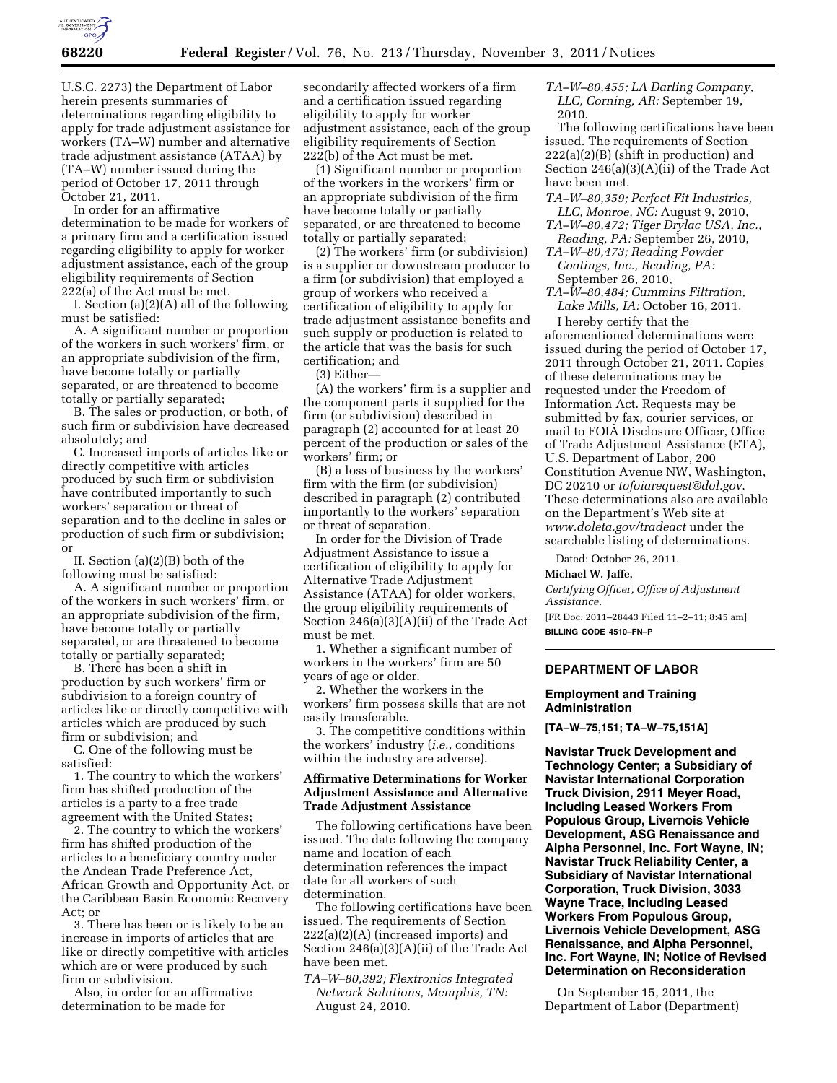

U.S.C. 2273) the Department of Labor herein presents summaries of determinations regarding eligibility to apply for trade adjustment assistance for workers (TA–W) number and alternative trade adjustment assistance (ATAA) by (TA–W) number issued during the period of October 17, 2011 through October 21, 2011.

In order for an affirmative determination to be made for workers of a primary firm and a certification issued regarding eligibility to apply for worker adjustment assistance, each of the group eligibility requirements of Section 222(a) of the Act must be met.

I. Section (a)(2)(A) all of the following must be satisfied:

A. A significant number or proportion of the workers in such workers' firm, or an appropriate subdivision of the firm, have become totally or partially separated, or are threatened to become totally or partially separated;

B. The sales or production, or both, of such firm or subdivision have decreased absolutely; and

C. Increased imports of articles like or directly competitive with articles produced by such firm or subdivision have contributed importantly to such workers' separation or threat of separation and to the decline in sales or production of such firm or subdivision; or

II. Section (a)(2)(B) both of the following must be satisfied:

A. A significant number or proportion of the workers in such workers' firm, or an appropriate subdivision of the firm, have become totally or partially separated, or are threatened to become totally or partially separated;

B. There has been a shift in production by such workers' firm or subdivision to a foreign country of articles like or directly competitive with articles which are produced by such firm or subdivision; and

C. One of the following must be satisfied:

1. The country to which the workers' firm has shifted production of the articles is a party to a free trade agreement with the United States;

2. The country to which the workers' firm has shifted production of the articles to a beneficiary country under the Andean Trade Preference Act, African Growth and Opportunity Act, or the Caribbean Basin Economic Recovery Act; or

3. There has been or is likely to be an increase in imports of articles that are like or directly competitive with articles which are or were produced by such firm or subdivision.

Also, in order for an affirmative determination to be made for

secondarily affected workers of a firm and a certification issued regarding eligibility to apply for worker adjustment assistance, each of the group eligibility requirements of Section 222(b) of the Act must be met.

(1) Significant number or proportion of the workers in the workers' firm or an appropriate subdivision of the firm have become totally or partially separated, or are threatened to become totally or partially separated;

(2) The workers' firm (or subdivision) is a supplier or downstream producer to a firm (or subdivision) that employed a group of workers who received a certification of eligibility to apply for trade adjustment assistance benefits and such supply or production is related to the article that was the basis for such certification; and

(3) Either—

(A) the workers' firm is a supplier and the component parts it supplied for the firm (or subdivision) described in paragraph (2) accounted for at least 20 percent of the production or sales of the workers' firm; or

(B) a loss of business by the workers' firm with the firm (or subdivision) described in paragraph (2) contributed importantly to the workers' separation or threat of separation.

In order for the Division of Trade Adjustment Assistance to issue a certification of eligibility to apply for Alternative Trade Adjustment Assistance (ATAA) for older workers, the group eligibility requirements of Section 246(a)(3)(A)(ii) of the Trade Act must be met.

1. Whether a significant number of workers in the workers' firm are 50 years of age or older.

2. Whether the workers in the workers' firm possess skills that are not easily transferable.

3. The competitive conditions within the workers' industry (*i.e.*, conditions within the industry are adverse).

### **Affirmative Determinations for Worker Adjustment Assistance and Alternative Trade Adjustment Assistance**

The following certifications have been issued. The date following the company name and location of each determination references the impact date for all workers of such determination.

The following certifications have been issued. The requirements of Section 222(a)(2)(A) (increased imports) and Section 246(a)(3)(A)(ii) of the Trade Act have been met.

*TA–W–80,392; Flextronics Integrated Network Solutions, Memphis, TN:*  August 24, 2010.

*TA–W–80,455; LA Darling Company, LLC, Corning, AR:* September 19, 2010.

The following certifications have been issued. The requirements of Section  $222(a)(2)(B)$  (shift in production) and Section 246(a)(3)(A)(ii) of the Trade Act have been met.

*TA–W–80,359; Perfect Fit Industries, LLC, Monroe, NC:* August 9, 2010,

*TA–W–80,472; Tiger Drylac USA, Inc., Reading, PA:* September 26, 2010,

*TA–W–80,473; Reading Powder Coatings, Inc., Reading, PA:*  September 26, 2010,

*TA–W–80,484; Cummins Filtration, Lake Mills, IA:* October 16, 2011.

I hereby certify that the aforementioned determinations were issued during the period of October 17, 2011 through October 21, 2011. Copies of these determinations may be requested under the Freedom of Information Act. Requests may be submitted by fax, courier services, or mail to FOIA Disclosure Officer, Office of Trade Adjustment Assistance (ETA), U.S. Department of Labor, 200 Constitution Avenue NW, Washington, DC 20210 or *[tofoiarequest@dol.gov](mailto:tofoiarequest@dol.gov)*. These determinations also are available on the Department's Web site at *[www.doleta.gov/tradeact](http://www.doleta.gov/tradeact)* under the searchable listing of determinations.

Dated: October 26, 2011.

**Michael W. Jaffe,** 

*Certifying Officer, Office of Adjustment Assistance.* 

[FR Doc. 2011–28443 Filed 11–2–11; 8:45 am] **BILLING CODE 4510–FN–P** 

## **DEPARTMENT OF LABOR**

### **Employment and Training Administration**

**[TA–W–75,151; TA–W–75,151A]** 

**Navistar Truck Development and Technology Center; a Subsidiary of Navistar International Corporation Truck Division, 2911 Meyer Road, Including Leased Workers From Populous Group, Livernois Vehicle Development, ASG Renaissance and Alpha Personnel, Inc. Fort Wayne, IN; Navistar Truck Reliability Center, a Subsidiary of Navistar International Corporation, Truck Division, 3033 Wayne Trace, Including Leased Workers From Populous Group, Livernois Vehicle Development, ASG Renaissance, and Alpha Personnel, Inc. Fort Wayne, IN; Notice of Revised Determination on Reconsideration** 

On September 15, 2011, the Department of Labor (Department)